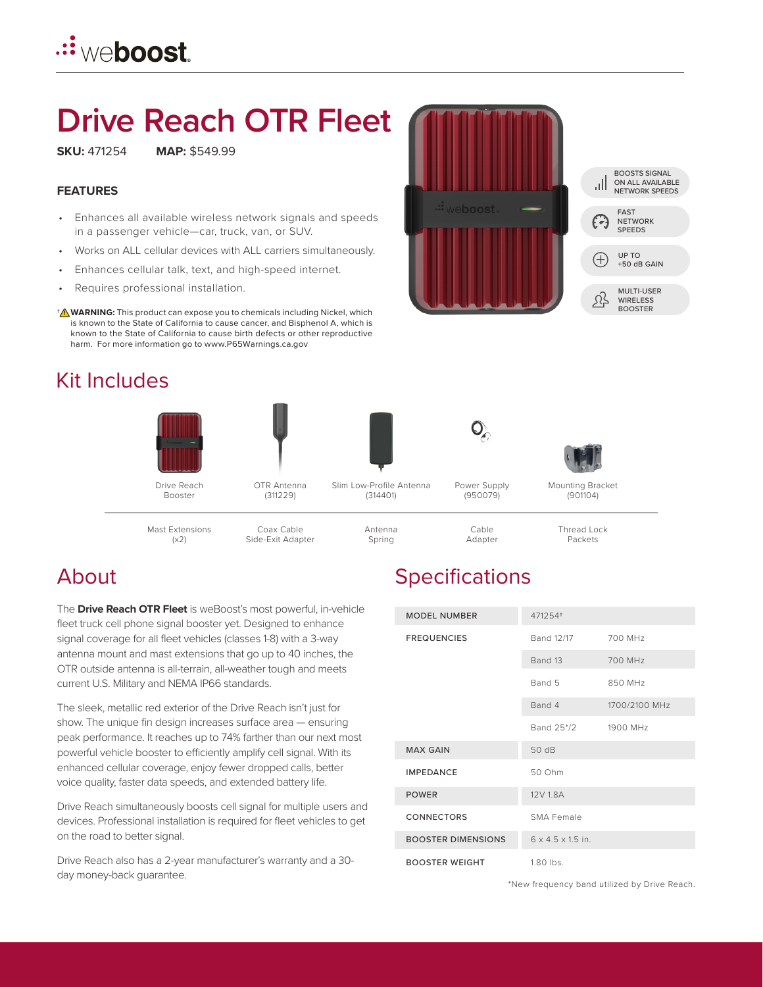# **Drive Reach OTR Fleet**

**SKU:** 471254 **MAP:** \$549.99

#### **FEATURES**

- Enhances all available wireless network signals and speeds in a passenger vehicle—car, truck, van, or SUV.
- Works on ALL cellular devices with ALL carriers simultaneously.
- Enhances cellular talk, text, and high-speed internet.
- Requires professional installation.

**WARNING:** This product can expose you to chemicals including Nickel, which † **!** is known to the State of California to cause cancer, and Bisphenol A, which is known to the State of California to cause birth defects or other reproductive harm. For more information go to www.P65Warnings.ca.gov

# Kit Includes



### About

The **Drive Reach OTR Fleet** is weBoost's most powerful, in-vehicle fleet truck cell phone signal booster yet. Designed to enhance signal coverage for all fleet vehicles (classes 1-8) with a 3-way antenna mount and mast extensions that go up to 40 inches, the OTR outside antenna is all-terrain, all-weather tough and meets current U.S. Military and NEMA IP66 standards.

The sleek, metallic red exterior of the Drive Reach isn't just for show. The unique fin design increases surface area — ensuring peak performance. It reaches up to 74% farther than our next most powerful vehicle booster to efficiently amplify cell signal. With its enhanced cellular coverage, enjoy fewer dropped calls, better voice quality, faster data speeds, and extended battery life.

Drive Reach simultaneously boosts cell signal for multiple users and devices. Professional installation is required for fleet vehicles to get on the road to better signal.

Drive Reach also has a 2-year manufacturer's warranty and a 30 day money-back guarantee.

# **Specifications**

| <b>MODEL NUMBER</b>       | 471254+                       |               |
|---------------------------|-------------------------------|---------------|
| <b>FREQUENCIES</b>        | Band 12/17                    | 700 MHz       |
|                           | Band 13                       | 700 MHz       |
|                           | Band 5                        | 850 MHz       |
|                           | Band 4                        | 1700/2100 MHz |
|                           | Band 25*/2                    | 1900 MHz      |
| <b>MAX GAIN</b>           | 50 dB                         |               |
| <b>IMPEDANCE</b>          | 50 Ohm                        |               |
| <b>POWER</b>              | 12V 1.8A                      |               |
| <b>CONNECTORS</b>         | SMA Female                    |               |
| <b>BOOSTER DIMENSIONS</b> | $6 \times 4.5 \times 1.5$ in. |               |
| <b>BOOSTER WEIGHT</b>     | $1.80$ lbs.                   |               |

\*New frequency band utilized by Drive Reach.